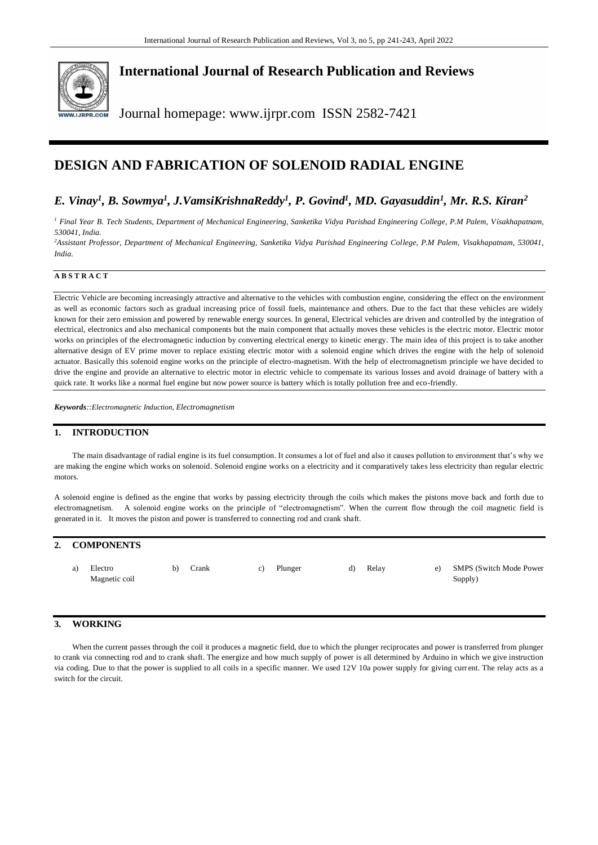

## **International Journal of Research Publication and Reviews**

Journal homepage: www.ijrpr.com ISSN 2582-7421

# **DESIGN AND FABRICATION OF SOLENOID RADIAL ENGINE**

## *E. Vinay<sup>1</sup> , B. Sowmya<sup>1</sup> , J.VamsiKrishnaReddy<sup>1</sup> , P. Govind<sup>1</sup> , MD. Gayasuddin<sup>1</sup> , Mr. R.S. Kiran<sup>2</sup>*

*<sup>1</sup> Final Year B. Tech Students, Department of Mechanical Engineering, Sanketika Vidya Parishad Engineering College, P.M Palem, Visakhapatnam, 530041, India.* 

*<sup>2</sup>Assistant Professor, Department of Mechanical Engineering, Sanketika Vidya Parishad Engineering College, P.M Palem, Visakhapatnam, 530041, India.* 

#### **A B S T R A C T**

Electric Vehicle are becoming increasingly attractive and alternative to the vehicles with combustion engine, considering the effect on the environment as well as economic factors such as gradual increasing price of fossil fuels, maintenance and others. Due to the fact that these vehicles are widely known for their zero emission and powered by renewable energy sources. In general, Electrical vehicles are driven and controlled by the integration of electrical, electronics and also mechanical components but the main component that actually moves these vehicles is the electric motor. Electric motor works on principles of the electromagnetic induction by converting electrical energy to kinetic energy. The main idea of this project is to take another alternative design of EV prime mover to replace existing electric motor with a solenoid engine which drives the engine with the help of solenoid actuator. Basically this solenoid engine works on the principle of electro-magnetism. With the help of electromagnetism principle we have decided to drive the engine and provide an alternative to electric motor in electric vehicle to compensate its various losses and avoid drainage of battery with a quick rate. It works like a normal fuel engine but now power source is battery which is totally pollution free and eco-friendly.

*Keywords::Electromagnetic Induction, Electromagnetism*

#### **1. INTRODUCTION**

The main disadvantage of radial engine is its fuel consumption. It consumes a lot of fuel and also it causes pollution to environment that's why we are making the engine which works on solenoid. Solenoid engine works on a electricity and it comparatively takes less electricity than regular electric motors.

A solenoid engine is defined as the engine that works by passing electricity through the coils which makes the pistons move back and forth due to electromagnetism. A solenoid engine works on the principle of "electromagnetism". When the current flow through the coil magnetic field is generated in it. It moves the piston and power is transferred to connecting rod and crank shaft.

#### **2. COMPONENTS**

|  | a) Electro<br>Magnetic coil |  | Crank | C) | Plunger | d) | Relay |  | e) SMPS (Switch Mode Power<br>Supply) |
|--|-----------------------------|--|-------|----|---------|----|-------|--|---------------------------------------|
|--|-----------------------------|--|-------|----|---------|----|-------|--|---------------------------------------|

#### **3. WORKING**

When the current passes through the coil it produces a magnetic field, due to which the plunger reciprocates and power is transferred from plunger to crank via connecting rod and to crank shaft. The energize and how much supply of power is all determined by Arduino in which we give instruction via coding. Due to that the power is supplied to all coils in a specific manner. We used  $12V$  10a power supply for giving current. The relay acts as a switch for the circuit.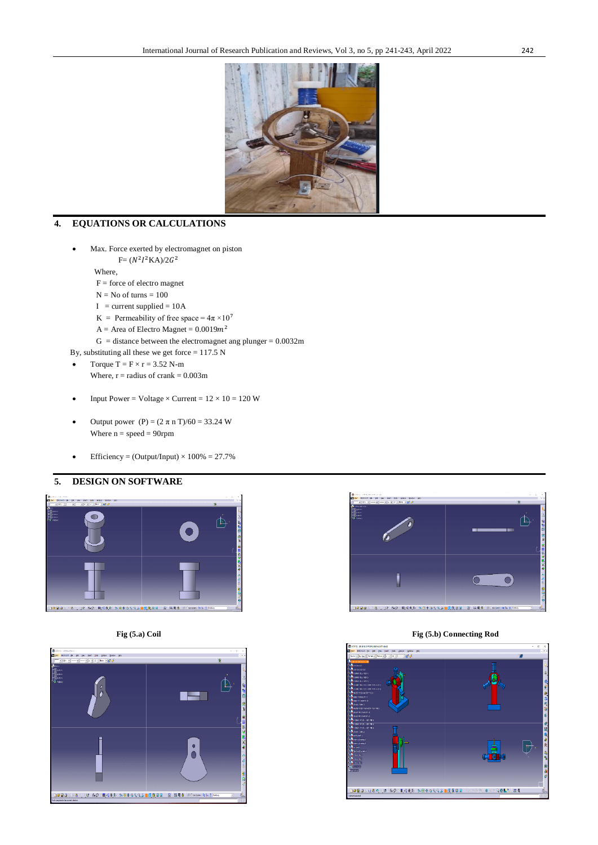

### **4. EQUATIONS OR CALCULATIONS**

- Max. Force exerted by electromagnet on piston
- $F = (N^2 I^2 K A)/2G^2$

Where,

- $F =$  force of electro magnet
- $N = No$  of turns  $= 100$
- $I = current supplied = 10A$
- K = Permeability of free space =  $4\pi \times 10^7$
- $A =$  Area of Electro Magnet = 0.0019 $m<sup>2</sup>$ 
	- $G = distance$  between the electromagnet ang plunger = 0.0032m
- By, substituting all these we get force  $= 117.5$  N
- Torque  $T = F \times r = 3.52$  N-m
	- Where,  $r =$  radius of crank =  $0.003$ m
- Input Power = Voltage  $\times$  Current =  $12 \times 10 = 120$  W
- Output power (P) = (2 π n T)/60 = 33.24 W Where  $n = speed = 90$ rpm
- Efficiency = (Output/Input)  $\times$  100% = 27.7%

#### **5. DESIGN ON SOFTWARE**







#### **Fig (5.a) Coil Fig (5.b) Connecting Rod**